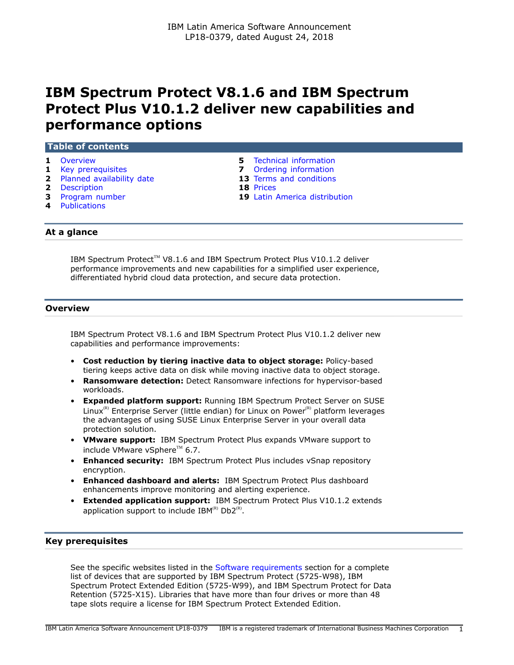# **IBM Spectrum Protect V8.1.6 and IBM Spectrum Protect Plus V10.1.2 deliver new capabilities and performance options**

## **Table of contents**

- 
- **1** [Key prerequisites](#page-0-1) **7** [Ordering information](#page-6-0)
- **2** [Planned availability date](#page-1-0) **13** [Terms and conditions](#page-12-0)
- **2** [Description](#page-1-1) **18** [Prices](#page-17-0)
- 
- **4** [Publications](#page-3-0)
- **1** [Overview](#page-0-0) **5** [Technical information](#page-4-0)
	-
	-
	-
- **3** [Program number](#page-2-0) **19** [Latin America distribution](#page-18-0)

## **At a glance**

IBM Spectrum Protect™ V8.1.6 and IBM Spectrum Protect Plus V10.1.2 deliver performance improvements and new capabilities for a simplified user experience, differentiated hybrid cloud data protection, and secure data protection.

## <span id="page-0-0"></span>**Overview**

IBM Spectrum Protect V8.1.6 and IBM Spectrum Protect Plus V10.1.2 deliver new capabilities and performance improvements:

- **Cost reduction by tiering inactive data to object storage:** Policy-based tiering keeps active data on disk while moving inactive data to object storage.
- **Ransomware detection:** Detect Ransomware infections for hypervisor-based workloads.
- **Expanded platform support:** Running IBM Spectrum Protect Server on SUSE Linux $<sup>(R)</sup>$  Enterprise Server (little endian) for Linux on Power $<sup>(R)</sup>$  platform leverages</sup></sup> the advantages of using SUSE Linux Enterprise Server in your overall data protection solution.
- **VMware support:** IBM Spectrum Protect Plus expands VMware support to include VMware vSphere<sup>TM</sup> 6.7.
- **Enhanced security:** IBM Spectrum Protect Plus includes vSnap repository encryption.
- **Enhanced dashboard and alerts:** IBM Spectrum Protect Plus dashboard enhancements improve monitoring and alerting experience.
- **Extended application support:** IBM Spectrum Protect Plus V10.1.2 extends application support to include IBM $^{(R)}$  Db2 $^{(R)}$ .

## <span id="page-0-1"></span>**Key prerequisites**

See the specific websites listed in the [Software requirements](#page-4-1) section for a complete list of devices that are supported by IBM Spectrum Protect (5725-W98), IBM Spectrum Protect Extended Edition (5725-W99), and IBM Spectrum Protect for Data Retention (5725-X15). Libraries that have more than four drives or more than 48 tape slots require a license for IBM Spectrum Protect Extended Edition.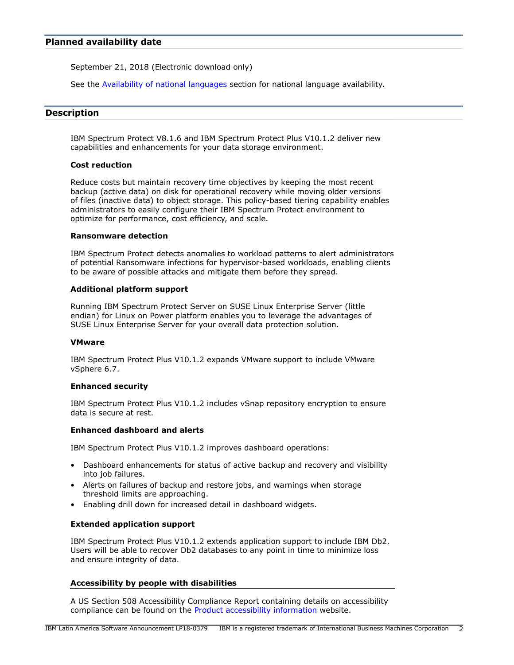<span id="page-1-0"></span>September 21, 2018 (Electronic download only)

See the [Availability of national languages](#page-2-1) section for national language availability.

## <span id="page-1-1"></span>**Description**

IBM Spectrum Protect V8.1.6 and IBM Spectrum Protect Plus V10.1.2 deliver new capabilities and enhancements for your data storage environment.

#### **Cost reduction**

Reduce costs but maintain recovery time objectives by keeping the most recent backup (active data) on disk for operational recovery while moving older versions of files (inactive data) to object storage. This policy-based tiering capability enables administrators to easily configure their IBM Spectrum Protect environment to optimize for performance, cost efficiency, and scale.

## **Ransomware detection**

IBM Spectrum Protect detects anomalies to workload patterns to alert administrators of potential Ransomware infections for hypervisor-based workloads, enabling clients to be aware of possible attacks and mitigate them before they spread.

#### **Additional platform support**

Running IBM Spectrum Protect Server on SUSE Linux Enterprise Server (little endian) for Linux on Power platform enables you to leverage the advantages of SUSE Linux Enterprise Server for your overall data protection solution.

#### **VMware**

IBM Spectrum Protect Plus V10.1.2 expands VMware support to include VMware vSphere 6.7.

#### **Enhanced security**

IBM Spectrum Protect Plus V10.1.2 includes vSnap repository encryption to ensure data is secure at rest.

## **Enhanced dashboard and alerts**

IBM Spectrum Protect Plus V10.1.2 improves dashboard operations:

- Dashboard enhancements for status of active backup and recovery and visibility into job failures.
- Alerts on failures of backup and restore jobs, and warnings when storage threshold limits are approaching.
- Enabling drill down for increased detail in dashboard widgets.

## **Extended application support**

IBM Spectrum Protect Plus V10.1.2 extends application support to include IBM Db2. Users will be able to recover Db2 databases to any point in time to minimize loss and ensure integrity of data.

## **Accessibility by people with disabilities**

A US Section 508 Accessibility Compliance Report containing details on accessibility compliance can be found on the [Product accessibility information](https://able.ibm.com/request/) website.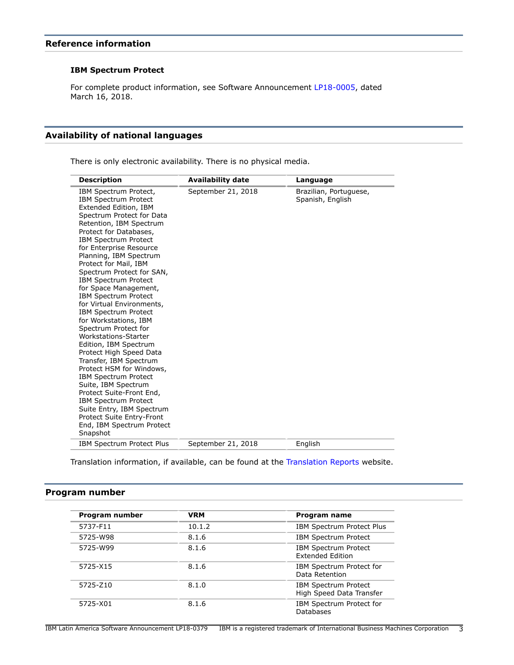## **Reference information**

## **IBM Spectrum Protect**

For complete product information, see Software Announcement [LP18-0005](http://www.ibm.com/common/ssi/cgi-bin/ssialias?infotype=an&subtype=ca&appname=gpateam&supplier=899&letternum=ENUSLP18-0005), dated March 16, 2018.

## <span id="page-2-1"></span>**Availability of national languages**

There is only electronic availability. There is no physical media.

| <b>Description</b>                                                                                                                                                                                                                                                                                                                                                                                                                                                                                                                                                                                                                                                                                                                                                                                                                                                         | <b>Availability date</b> | Language                                   |
|----------------------------------------------------------------------------------------------------------------------------------------------------------------------------------------------------------------------------------------------------------------------------------------------------------------------------------------------------------------------------------------------------------------------------------------------------------------------------------------------------------------------------------------------------------------------------------------------------------------------------------------------------------------------------------------------------------------------------------------------------------------------------------------------------------------------------------------------------------------------------|--------------------------|--------------------------------------------|
| IBM Spectrum Protect,<br><b>IBM Spectrum Protect</b><br>Extended Edition, IBM<br>Spectrum Protect for Data<br>Retention, IBM Spectrum<br>Protect for Databases,<br><b>IBM Spectrum Protect</b><br>for Enterprise Resource<br>Planning, IBM Spectrum<br>Protect for Mail, IBM<br>Spectrum Protect for SAN,<br><b>IBM Spectrum Protect</b><br>for Space Management,<br><b>IBM Spectrum Protect</b><br>for Virtual Environments,<br><b>IBM Spectrum Protect</b><br>for Workstations, IBM<br>Spectrum Protect for<br><b>Workstations-Starter</b><br>Edition, IBM Spectrum<br>Protect High Speed Data<br>Transfer, IBM Spectrum<br>Protect HSM for Windows,<br><b>IBM Spectrum Protect</b><br>Suite, IBM Spectrum<br>Protect Suite-Front End,<br><b>IBM Spectrum Protect</b><br>Suite Entry, IBM Spectrum<br>Protect Suite Entry-Front<br>End, IBM Spectrum Protect<br>Snapshot | September 21, 2018       | Brazilian, Portuguese,<br>Spanish, English |
| <b>IBM Spectrum Protect Plus</b>                                                                                                                                                                                                                                                                                                                                                                                                                                                                                                                                                                                                                                                                                                                                                                                                                                           | September 21, 2018       | English                                    |

Translation information, if available, can be found at the [Translation Reports](http://www.ibm.com/software/reports/compatibility/clarity/languageCategory.html) website.

## <span id="page-2-0"></span>**Program number**

| Program number | <b>VRM</b> | Program name                                            |
|----------------|------------|---------------------------------------------------------|
| 5737-F11       | 10.1.2     | <b>IBM Spectrum Protect Plus</b>                        |
| 5725-W98       | 8.1.6      | <b>IBM Spectrum Protect</b>                             |
| 5725-W99       | 8.1.6      | <b>IBM Spectrum Protect</b><br><b>Extended Edition</b>  |
| 5725-X15       | 8.1.6      | IBM Spectrum Protect for<br>Data Retention              |
| 5725-Z10       | 8.1.0      | <b>IBM Spectrum Protect</b><br>High Speed Data Transfer |
| 5725-X01       | 8.1.6      | IBM Spectrum Protect for<br>Databases                   |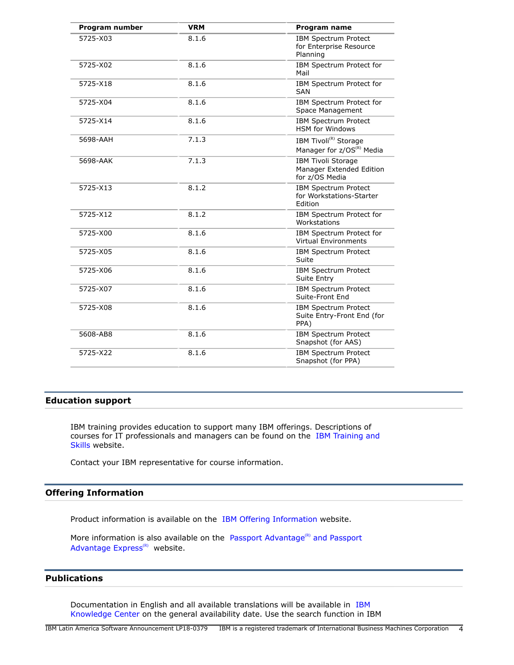| Program number | <b>VRM</b> | Program name                                                               |
|----------------|------------|----------------------------------------------------------------------------|
| 5725-X03       | 8.1.6      | IBM Spectrum Protect<br>for Enterprise Resource<br>Planning                |
| 5725-X02       | 8.1.6      | IBM Spectrum Protect for<br>Mail                                           |
| 5725-X18       | 8.1.6      | IBM Spectrum Protect for<br><b>SAN</b>                                     |
| 5725-X04       | 8.1.6      | IBM Spectrum Protect for<br>Space Management                               |
| 5725-X14       | 8.1.6      | <b>IBM Spectrum Protect</b><br><b>HSM</b> for Windows                      |
| 5698-AAH       | 7.1.3      | IBM Tivoli <sup>(R)</sup> Storage<br>Manager for z/OS <sup>(R)</sup> Media |
| 5698-AAK       | 7.1.3      | <b>IBM Tivoli Storage</b><br>Manager Extended Edition<br>for z/OS Media    |
| 5725-X13       | 8.1.2      | <b>IBM Spectrum Protect</b><br>for Workstations-Starter<br>Edition         |
| 5725-X12       | 8.1.2      | IBM Spectrum Protect for<br>Workstations                                   |
| 5725-X00       | 8.1.6      | IBM Spectrum Protect for<br><b>Virtual Environments</b>                    |
| 5725-X05       | 8.1.6      | IBM Spectrum Protect<br>Suite                                              |
| 5725-X06       | 8.1.6      | <b>IBM Spectrum Protect</b><br>Suite Entry                                 |
| 5725-X07       | 8.1.6      | <b>IBM Spectrum Protect</b><br>Suite-Front End                             |
| 5725-X08       | 8.1.6      | IBM Spectrum Protect<br>Suite Entry-Front End (for<br>PPA)                 |
| 5608-AB8       | 8.1.6      | <b>IBM Spectrum Protect</b><br>Snapshot (for AAS)                          |
| 5725-X22       | 8.1.6      | IBM Spectrum Protect<br>Snapshot (for PPA)                                 |

## **Education support**

IBM training provides education to support many IBM offerings. Descriptions of courses for IT professionals and managers can be found on the [IBM Training and](http://www.ibm.com/services/learning/) [Skills](http://www.ibm.com/services/learning/) website.

Contact your IBM representative for course information.

## **Offering Information**

Product information is available on the [IBM Offering Information](http://www.ibm.com/common/ssi) website.

More information is also available on the [Passport Advantage](http://www.ibm.com/software/passportadvantage)<sup>(R)</sup> and Passport Advantage  $Express<sup>(R)</sup>$  website.

## <span id="page-3-0"></span>**Publications**

Documentation in English and all available translations will be available in [IBM](http://www.ibm.com/support/knowledgecenter/) [Knowledge Center](http://www.ibm.com/support/knowledgecenter/) on the general availability date. Use the search function in IBM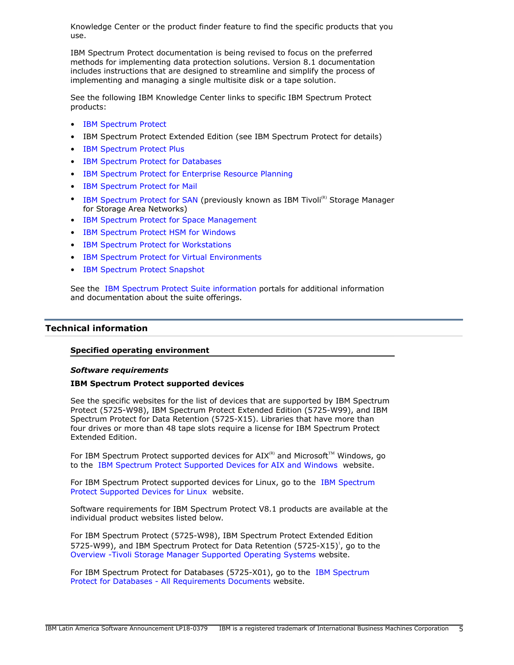Knowledge Center or the product finder feature to find the specific products that you use.

IBM Spectrum Protect documentation is being revised to focus on the preferred methods for implementing data protection solutions. Version 8.1 documentation includes instructions that are designed to streamline and simplify the process of implementing and managing a single multisite disk or a tape solution.

See the following IBM Knowledge Center links to specific IBM Spectrum Protect products:

- [IBM Spectrum Protect](http://www.ibm.com/support/knowledgecenter/SSEQVQ)
- IBM Spectrum Protect Extended Edition (see IBM Spectrum Protect for details)
- [IBM Spectrum Protect Plus](https://www.ibm.com/support/knowledgecenter/SSNQFQ/landing/welcome_ssnqfq.html)
- [IBM Spectrum Protect for Databases](http://www.ibm.com/support/knowledgecenter/SSER7G)
- [IBM Spectrum Protect for Enterprise Resource Planning](http://www.ibm.com/support/knowledgecenter/SSER83)
- [IBM Spectrum Protect for Mail](http://www.ibm.com/support/knowledgecenter/SSERBW)
- [IBM Spectrum Protect for SAN](https://www.ibm.com/support/knowledgecenter/SSSQZW_7.1.1) (previously known as IBM Tivoli<sup>(R)</sup> Storage Manager for Storage Area Networks)
- [IBM Spectrum Protect for Space Management](http://www.ibm.com/support/knowledgecenter/SSERBH)
- [IBM Spectrum Protect HSM for Windows](http://www.ibm.com/support/knowledgecenter/SSERFH)
- [IBM Spectrum Protect for Workstations](http://www.ibm.com/support/knowledgecenter/SSER9E)
- [IBM Spectrum Protect for Virtual Environments](http://www.ibm.com/support/knowledgecenter/SSERB6)
- [IBM Spectrum Protect Snapshot](https://www.ibm.com/support/knowledgecenter/SSERFV/landing/welcome_sserfv.html)

See the [IBM Spectrum Protect Suite information](http://www.ibm.com/support/docview.wss?uid=swg27048918) portals for additional information and documentation about the suite offerings.

## <span id="page-4-0"></span>**Technical information**

## **Specified operating environment**

## <span id="page-4-1"></span>*Software requirements*

## **IBM Spectrum Protect supported devices**

See the specific websites for the list of devices that are supported by IBM Spectrum Protect (5725-W98), IBM Spectrum Protect Extended Edition (5725-W99), and IBM Spectrum Protect for Data Retention (5725-X15). Libraries that have more than four drives or more than 48 tape slots require a license for IBM Spectrum Protect Extended Edition.

For IBM Spectrum Protect supported devices for  $\text{AIX}^{(R)}$  and Microsoft<sup>TM</sup> Windows, go to the [IBM Spectrum Protect Supported Devices for AIX and Windows](http://www-01.ibm.com/software/sysmgmt/products/support/IBM_TSM_Supported_Devices_for_AIXHPSUNWIN.html) website.

For IBM Spectrum Protect supported devices for Linux, go to the [IBM Spectrum](http://www-01.ibm.com/software/sysmgmt/products/support/IBM_TSM_Supported_Devices_for_Linux.html) [Protect Supported Devices for Linux](http://www-01.ibm.com/software/sysmgmt/products/support/IBM_TSM_Supported_Devices_for_Linux.html) website.

Software requirements for IBM Spectrum Protect V8.1 products are available at the individual product websites listed below.

For IBM Spectrum Protect (5725-W98), IBM Spectrum Protect Extended Edition 5725-W99), and IBM Spectrum Protect for Data Retention (5725-X15)<sup>1</sup>, go to the [Overview -Tivoli Storage Manager Supported Operating Systems](http://www-01.ibm.com/support/docview.wss?&uid=swg21243309) website.

For IBM Spectrum Protect for Databases (5725-X01), go to the [IBM Spectrum](http://www-01.ibm.com/support/docview.wss?uid=swg21218747) [Protect for Databases - All Requirements Documents](http://www-01.ibm.com/support/docview.wss?uid=swg21218747) website.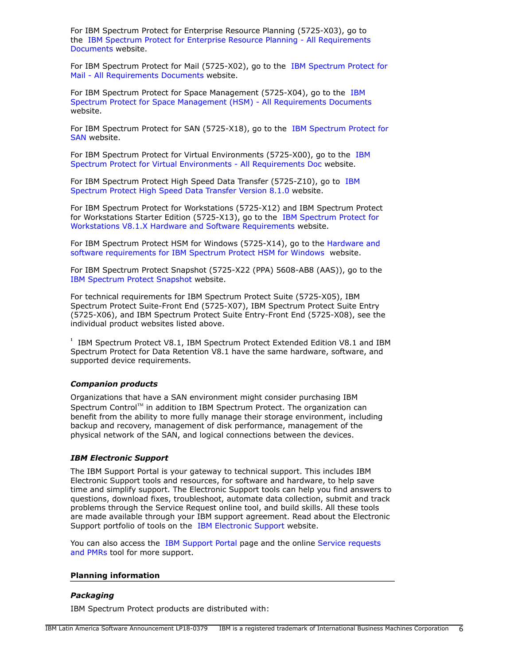For IBM Spectrum Protect for Enterprise Resource Planning (5725-X03), go to the [IBM Spectrum Protect for Enterprise Resource Planning - All Requirements](http://www-01.ibm.com/support/docview.wss?uid=swg21219410) [Documents](http://www-01.ibm.com/support/docview.wss?uid=swg21219410) website.

For IBM Spectrum Protect for Mail (5725-X02), go to the [IBM Spectrum Protect for](http://www.ibm.com/support/docview.wss?&uid=swg21219345) [Mail - All Requirements Documents](http://www.ibm.com/support/docview.wss?&uid=swg21219345) website.

For IBM Spectrum Protect for Space Management (5725-X04), go to the [IBM](http://www-01.ibm.com/support/docview.wss?&uid=swg21321200) [Spectrum Protect for Space Management \(HSM\) - All Requirements Documents](http://www-01.ibm.com/support/docview.wss?&uid=swg21321200) website.

For IBM Spectrum Protect for SAN (5725-X18), go to the [IBM Spectrum Protect for](http://www-01.ibm.com/support/docview.wss?uid=swg21321214) [SAN](http://www-01.ibm.com/support/docview.wss?uid=swg21321214) website.

For IBM Spectrum Protect for Virtual Environments (5725-X00), go to the [IBM](http://www-01.ibm.com/support/docview.wss?uid=swg21505139) [Spectrum Protect for Virtual Environments - All Requirements Doc](http://www-01.ibm.com/support/docview.wss?uid=swg21505139) website.

For IBM Spectrum Protect High Speed Data Transfer (5725-Z10), go to [IBM](https://www.ibm.com/support/knowledgecenter/SSEQVQ_8.1.0/srv.admin/t_config_fasp_prereq.html) [Spectrum Protect High Speed Data Transfer Version 8.1.0](https://www.ibm.com/support/knowledgecenter/SSEQVQ_8.1.0/srv.admin/t_config_fasp_prereq.html) website.

For IBM Spectrum Protect for Workstations (5725-X12) and IBM Spectrum Protect for Workstations Starter Edition (5725-X13), go to the [IBM Spectrum Protect for](http://www-01.ibm.com/support/docview.wss?uid=swg21992682) [Workstations V8.1.X Hardware and Software Requirements](http://www-01.ibm.com/support/docview.wss?uid=swg21992682) website.

For IBM Spectrum Protect HSM for Windows (5725-X14), go to the [Hardware and](http://www-01.ibm.com/support/docview.wss?uid=swg21319299) [software requirements for IBM Spectrum Protect HSM for Windows](http://www-01.ibm.com/support/docview.wss?uid=swg21319299) website.

For IBM Spectrum Protect Snapshot (5725-X22 (PPA) 5608-AB8 (AAS)), go to the [IBM Spectrum Protect Snapshot](https://www.ibm.com/support/home/product/10000612/IBM_Spectrum_Protect_Snapshot) website.

For technical requirements for IBM Spectrum Protect Suite (5725-X05), IBM Spectrum Protect Suite-Front End (5725-X07), IBM Spectrum Protect Suite Entry (5725-X06), and IBM Spectrum Protect Suite Entry-Front End (5725-X08), see the individual product websites listed above.

**1** IBM Spectrum Protect V8.1, IBM Spectrum Protect Extended Edition V8.1 and IBM Spectrum Protect for Data Retention V8.1 have the same hardware, software, and supported device requirements.

## *Companion products*

Organizations that have a SAN environment might consider purchasing IBM Spectrum Control™ in addition to IBM Spectrum Protect. The organization can benefit from the ability to more fully manage their storage environment, including backup and recovery, management of disk performance, management of the physical network of the SAN, and logical connections between the devices.

## *IBM Electronic Support*

The IBM Support Portal is your gateway to technical support. This includes IBM Electronic Support tools and resources, for software and hardware, to help save time and simplify support. The Electronic Support tools can help you find answers to questions, download fixes, troubleshoot, automate data collection, submit and track problems through the Service Request online tool, and build skills. All these tools are made available through your IBM support agreement. Read about the Electronic Support portfolio of tools on the [IBM Electronic Support](http://www.ibm.com/support/entry/portal/support) website.

You can also access the [IBM Support Portal](https://www.ibm.com/support/entry/portal/support) page and the online [Service requests](http://www.ibm.com/support/servicerequest) [and PMRs](http://www.ibm.com/support/servicerequest) tool for more support.

#### **Planning information**

## *Packaging*

IBM Spectrum Protect products are distributed with: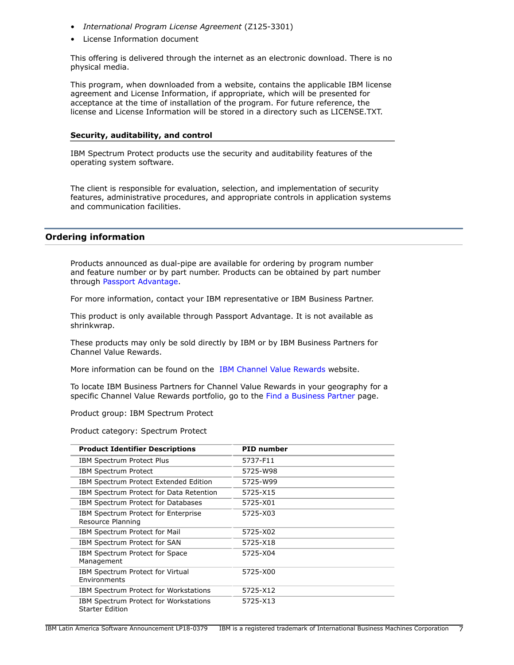- *International Program License Agreement* (Z125-3301)
- License Information document

This offering is delivered through the internet as an electronic download. There is no physical media.

This program, when downloaded from a website, contains the applicable IBM license agreement and License Information, if appropriate, which will be presented for acceptance at the time of installation of the program. For future reference, the license and License Information will be stored in a directory such as LICENSE.TXT.

## **Security, auditability, and control**

IBM Spectrum Protect products use the security and auditability features of the operating system software.

The client is responsible for evaluation, selection, and implementation of security features, administrative procedures, and appropriate controls in application systems and communication facilities.

## <span id="page-6-0"></span>**Ordering information**

Products announced as dual-pipe are available for ordering by program number and feature number or by part number. Products can be obtained by part number through [Passport Advantage](http://www.ibm.com/software/support/pa.html).

For more information, contact your IBM representative or IBM Business Partner.

This product is only available through Passport Advantage. It is not available as shrinkwrap.

These products may only be sold directly by IBM or by IBM Business Partners for Channel Value Rewards.

More information can be found on the [IBM Channel Value Rewards](http://www.ibm.com/partnerworld/page/svp_authorized_portfolio) website.

To locate IBM Business Partners for Channel Value Rewards in your geography for a specific Channel Value Rewards portfolio, go to the [Find a Business Partner](http://www.ibm.com/partnerworld/wps/bplocator/) page.

Product group: IBM Spectrum Protect

Product category: Spectrum Protect

| <b>Product Identifier Descriptions</b>                          | <b>PID</b> number |
|-----------------------------------------------------------------|-------------------|
| <b>IBM Spectrum Protect Plus</b>                                | 5737-F11          |
| <b>IBM Spectrum Protect</b>                                     | 5725-W98          |
| IBM Spectrum Protect Extended Edition                           | 5725-W99          |
| IBM Spectrum Protect for Data Retention                         | 5725-X15          |
| IBM Spectrum Protect for Databases                              | 5725-X01          |
| IBM Spectrum Protect for Enterprise<br>Resource Planning        | 5725-X03          |
| IBM Spectrum Protect for Mail                                   | 5725-X02          |
| IBM Spectrum Protect for SAN                                    | 5725-X18          |
| IBM Spectrum Protect for Space<br>Management                    | 5725-X04          |
| IBM Spectrum Protect for Virtual<br>Environments                | 5725-X00          |
| IBM Spectrum Protect for Workstations                           | 5725-X12          |
| IBM Spectrum Protect for Workstations<br><b>Starter Edition</b> | 5725-X13          |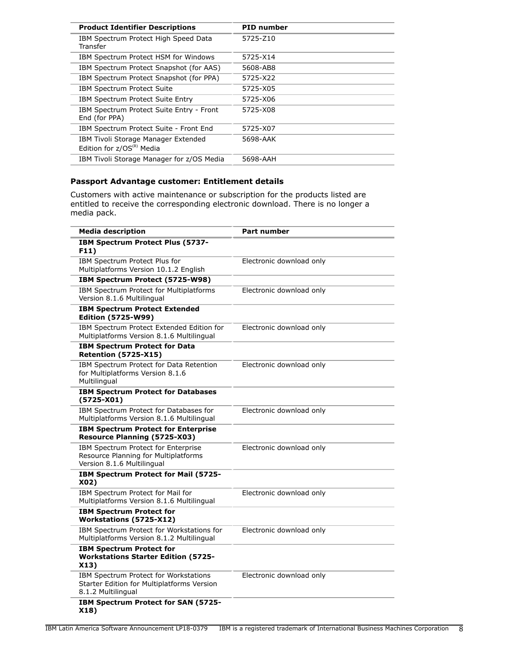| <b>Product Identifier Descriptions</b>                                | <b>PID number</b> |
|-----------------------------------------------------------------------|-------------------|
| IBM Spectrum Protect High Speed Data<br>Transfer                      | 5725-Z10          |
| IBM Spectrum Protect HSM for Windows                                  | 5725-X14          |
| IBM Spectrum Protect Snapshot (for AAS)                               | 5608-AB8          |
| IBM Spectrum Protect Snapshot (for PPA)                               | 5725-X22          |
| <b>IBM Spectrum Protect Suite</b>                                     | 5725-X05          |
| IBM Spectrum Protect Suite Entry                                      | 5725-X06          |
| IBM Spectrum Protect Suite Entry - Front<br>End (for PPA)             | 5725-X08          |
| IBM Spectrum Protect Suite - Front End                                | 5725-X07          |
| IBM Tivoli Storage Manager Extended<br>Edition for $z/OS^{(R)}$ Media | 5698-AAK          |
| IBM Tivoli Storage Manager for z/OS Media                             | 5698-AAH          |

## **Passport Advantage customer: Entitlement details**

Customers with active maintenance or subscription for the products listed are entitled to receive the corresponding electronic download. There is no longer a media pack.

| <b>Media description</b>                                                                                  | Part number              |
|-----------------------------------------------------------------------------------------------------------|--------------------------|
| IBM Spectrum Protect Plus (5737-<br>F11)                                                                  |                          |
| IBM Spectrum Protect Plus for<br>Multiplatforms Version 10.1.2 English                                    | Electronic download only |
| IBM Spectrum Protect (5725-W98)                                                                           |                          |
| IBM Spectrum Protect for Multiplatforms<br>Version 8.1.6 Multilingual                                     | Electronic download only |
| <b>IBM Spectrum Protect Extended</b><br><b>Edition (5725-W99)</b>                                         |                          |
| IBM Spectrum Protect Extended Edition for<br>Multiplatforms Version 8.1.6 Multilingual                    | Electronic download only |
| <b>IBM Spectrum Protect for Data</b><br><b>Retention (5725-X15)</b>                                       |                          |
| IBM Spectrum Protect for Data Retention<br>for Multiplatforms Version 8.1.6<br>Multilingual               | Electronic download only |
| <b>IBM Spectrum Protect for Databases</b><br>$(5725 - X01)$                                               |                          |
| IBM Spectrum Protect for Databases for<br>Multiplatforms Version 8.1.6 Multilingual                       | Electronic download only |
| <b>IBM Spectrum Protect for Enterprise</b><br>Resource Planning (5725-X03)                                |                          |
| IBM Spectrum Protect for Enterprise<br>Resource Planning for Multiplatforms<br>Version 8.1.6 Multilingual | Electronic download only |
| IBM Spectrum Protect for Mail (5725-<br>X02)                                                              |                          |
| IBM Spectrum Protect for Mail for<br>Multiplatforms Version 8.1.6 Multilingual                            | Electronic download only |
| <b>IBM Spectrum Protect for</b><br>Workstations (5725-X12)                                                |                          |
| IBM Spectrum Protect for Workstations for<br>Multiplatforms Version 8.1.2 Multilingual                    | Electronic download only |
| <b>IBM Spectrum Protect for</b><br><b>Workstations Starter Edition (5725-</b><br>X13)                     |                          |
| IBM Spectrum Protect for Workstations<br>Starter Edition for Multiplatforms Version<br>8.1.2 Multilingual | Electronic download only |
| IBM Spectrum Protect for SAN (5725-<br>X18)                                                               |                          |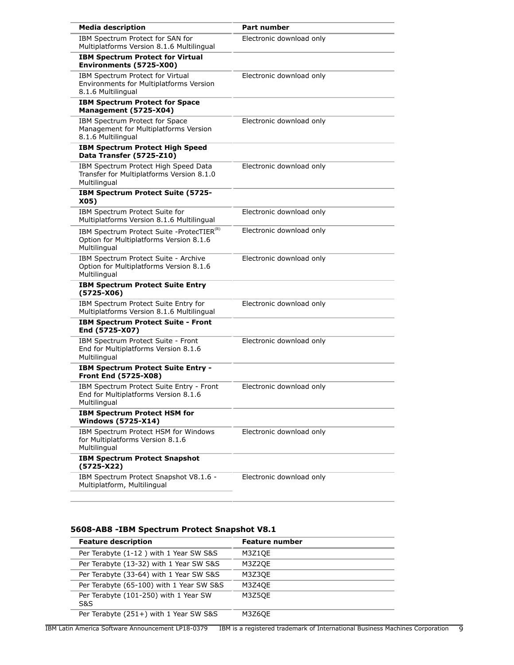| <b>Media description</b>                                                                                          | Part number              |
|-------------------------------------------------------------------------------------------------------------------|--------------------------|
| IBM Spectrum Protect for SAN for<br>Multiplatforms Version 8.1.6 Multilingual                                     | Electronic download only |
| <b>IBM Spectrum Protect for Virtual</b><br>Environments (5725-X00)                                                |                          |
| IBM Spectrum Protect for Virtual<br><b>Environments for Multiplatforms Version</b><br>8.1.6 Multilingual          | Electronic download only |
| <b>IBM Spectrum Protect for Space</b><br>Management (5725-X04)                                                    |                          |
| IBM Spectrum Protect for Space<br>Management for Multiplatforms Version<br>8.1.6 Multilingual                     | Electronic download only |
| <b>IBM Spectrum Protect High Speed</b><br>Data Transfer (5725-Z10)                                                |                          |
| IBM Spectrum Protect High Speed Data<br>Transfer for Multiplatforms Version 8.1.0<br>Multilingual                 | Electronic download only |
| IBM Spectrum Protect Suite (5725-<br>X05)                                                                         |                          |
| IBM Spectrum Protect Suite for<br>Multiplatforms Version 8.1.6 Multilingual                                       | Electronic download only |
| IBM Spectrum Protect Suite - ProtecTIER <sup>(R)</sup><br>Option for Multiplatforms Version 8.1.6<br>Multilingual | Electronic download only |
| IBM Spectrum Protect Suite - Archive<br>Option for Multiplatforms Version 8.1.6<br>Multilingual                   | Electronic download only |
| <b>IBM Spectrum Protect Suite Entry</b><br>$(5725-X06)$                                                           |                          |
| IBM Spectrum Protect Suite Entry for<br>Multiplatforms Version 8.1.6 Multilingual                                 | Electronic download only |
| <b>IBM Spectrum Protect Suite - Front</b><br>End (5725-X07)                                                       |                          |
| IBM Spectrum Protect Suite - Front<br>End for Multiplatforms Version 8.1.6<br>Multilingual                        | Electronic download only |
| IBM Spectrum Protect Suite Entry -<br><b>Front End (5725-X08)</b>                                                 |                          |
| IBM Spectrum Protect Suite Entry - Front<br>End for Multiplatforms Version 8.1.6<br>Multilingual                  | Electronic download only |
| <b>IBM Spectrum Protect HSM for</b><br><b>Windows (5725-X14)</b>                                                  |                          |
| IBM Spectrum Protect HSM for Windows<br>for Multiplatforms Version 8.1.6<br>Multilingual                          | Electronic download only |
| <b>IBM Spectrum Protect Snapshot</b><br>$(5725-X22)$                                                              |                          |
| IBM Spectrum Protect Snapshot V8.1.6 -<br>Multiplatform, Multilingual                                             | Electronic download only |

## **5608-AB8 -IBM Spectrum Protect Snapshot V8.1**

| <b>Feature description</b>                   | <b>Feature number</b> |
|----------------------------------------------|-----------------------|
| Per Terabyte (1-12) with 1 Year SW S&S       | M3Z1QE                |
| Per Terabyte (13-32) with 1 Year SW S&S      | M3Z2QE                |
| Per Terabyte (33-64) with 1 Year SW S&S      | M3Z3QE                |
| Per Terabyte (65-100) with 1 Year SW S&S     | M3Z4QE                |
| Per Terabyte (101-250) with 1 Year SW<br>S&S | M3Z5OE                |
| Per Terabyte (251+) with 1 Year SW S&S       | M3Z6OE                |

IBM Latin America Software Announcement LP18-0379 IBM is a registered trademark of International Business Machines Corporation 9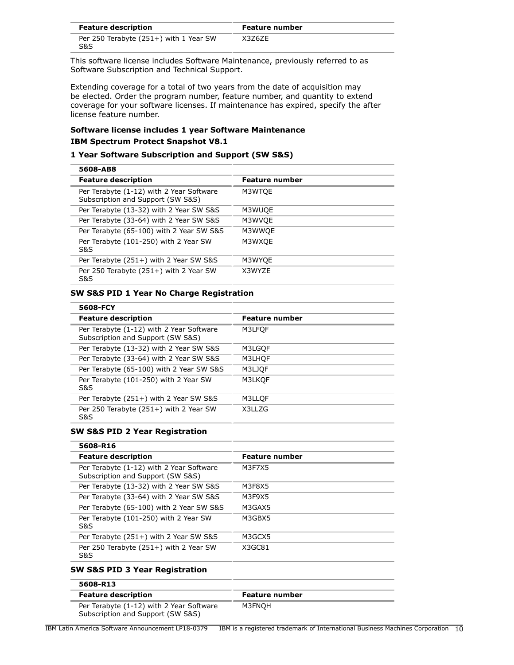| <b>Feature description</b>                    | <b>Feature number</b> |
|-----------------------------------------------|-----------------------|
| Per 250 Terabyte (251+) with 1 Year SW<br>S&S | X3Z6ZE                |

This software license includes Software Maintenance, previously referred to as Software Subscription and Technical Support.

Extending coverage for a total of two years from the date of acquisition may be elected. Order the program number, feature number, and quantity to extend coverage for your software licenses. If maintenance has expired, specify the after license feature number.

## **Software license includes 1 year Software Maintenance IBM Spectrum Protect Snapshot V8.1**

## **1 Year Software Subscription and Support (SW S&S)**

| 5608-AB8                                                                      |                       |
|-------------------------------------------------------------------------------|-----------------------|
| <b>Feature description</b>                                                    | <b>Feature number</b> |
| Per Terabyte (1-12) with 2 Year Software<br>Subscription and Support (SW S&S) | M3WTOE                |
| Per Terabyte (13-32) with 2 Year SW S&S                                       | M3WUOE                |
| Per Terabyte (33-64) with 2 Year SW S&S                                       | M3WVQE                |
| Per Terabyte (65-100) with 2 Year SW S&S                                      | M3WWQE                |
| Per Terabyte (101-250) with 2 Year SW<br>S&S                                  | M3WXQE                |
| Per Terabyte (251+) with 2 Year SW S&S                                        | M3WYQE                |
| Per 250 Terabyte (251+) with 2 Year SW<br><b>S&amp;S</b>                      | X3WYZE                |

## **SW S&S PID 1 Year No Charge Registration**

| 5608-FCY                                                                      |                       |
|-------------------------------------------------------------------------------|-----------------------|
| <b>Feature description</b>                                                    | <b>Feature number</b> |
| Per Terabyte (1-12) with 2 Year Software<br>Subscription and Support (SW S&S) | M3LFOF                |
| Per Terabyte (13-32) with 2 Year SW S&S                                       | M3LGOF                |
| Per Terabyte (33-64) with 2 Year SW S&S                                       | M3LHOF                |
| Per Terabyte (65-100) with 2 Year SW S&S                                      | M3LJOF                |
| Per Terabyte (101-250) with 2 Year SW<br>S&S                                  | M3LKOF                |
| Per Terabyte (251+) with 2 Year SW S&S                                        | M3LLOF                |
| Per 250 Terabyte (251+) with 2 Year SW<br>S&S                                 | X3LLZG                |

## **SW S&S PID 2 Year Registration**

## **5608-R16**

| <b>Feature description</b>                                                    | <b>Feature number</b> |
|-------------------------------------------------------------------------------|-----------------------|
| Per Terabyte (1-12) with 2 Year Software<br>Subscription and Support (SW S&S) | M3F7X5                |
| Per Terabyte (13-32) with 2 Year SW S&S                                       | M3F8X5                |
| Per Terabyte (33-64) with 2 Year SW S&S                                       | M3F9X5                |
| Per Terabyte (65-100) with 2 Year SW S&S                                      | M3GAX5                |
| Per Terabyte (101-250) with 2 Year SW<br><b>S&amp;S</b>                       | M3GBX5                |
| Per Terabyte (251+) with 2 Year SW S&S                                        | M3GCX5                |
| Per 250 Terabyte (251+) with 2 Year SW<br>S&S                                 | X3GC81                |

## **SW S&S PID 3 Year Registration**

| 5608-R13                                                                      |                |  |
|-------------------------------------------------------------------------------|----------------|--|
| <b>Feature description</b>                                                    | Feature number |  |
| Per Terabyte (1-12) with 2 Year Software<br>Subscription and Support (SW S&S) | M3FNOH         |  |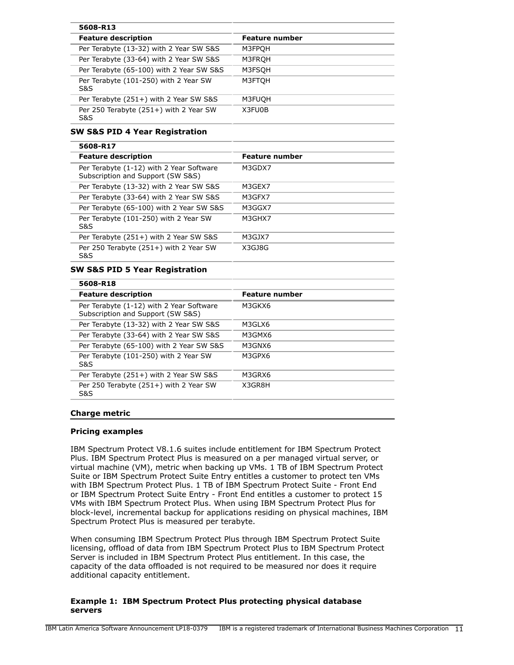| 5608-R13                                      |                       |
|-----------------------------------------------|-----------------------|
| <b>Feature description</b>                    | <b>Feature number</b> |
| Per Terabyte (13-32) with 2 Year SW S&S       | M3FPOH                |
| Per Terabyte (33-64) with 2 Year SW S&S       | M3FROH                |
| Per Terabyte (65-100) with 2 Year SW S&S      | M3FSOH                |
| Per Terabyte (101-250) with 2 Year SW<br>S&S  | M3FTOH                |
| Per Terabyte (251+) with 2 Year SW S&S        | M3FUQH                |
| Per 250 Terabyte (251+) with 2 Year SW<br>S&S | X3FU0B                |

## **SW S&S PID 4 Year Registration**

#### **5608-R17**

| <b>Feature description</b>                                                    | <b>Feature number</b> |
|-------------------------------------------------------------------------------|-----------------------|
| Per Terabyte (1-12) with 2 Year Software<br>Subscription and Support (SW S&S) | M3GDX7                |
| Per Terabyte (13-32) with 2 Year SW S&S                                       | M3GEX7                |
| Per Terabyte (33-64) with 2 Year SW S&S                                       | M3GFX7                |
| Per Terabyte (65-100) with 2 Year SW S&S                                      | M3GGX7                |
| Per Terabyte (101-250) with 2 Year SW<br>S&S                                  | M3GHX7                |
| Per Terabyte (251+) with 2 Year SW S&S                                        | M3GJX7                |
| Per 250 Terabyte (251+) with 2 Year SW<br>S&S                                 | X3GJ8G                |

## **SW S&S PID 5 Year Registration**

| 5608-R18                                                                      |                |
|-------------------------------------------------------------------------------|----------------|
| <b>Feature description</b>                                                    | Feature number |
| Per Terabyte (1-12) with 2 Year Software<br>Subscription and Support (SW S&S) | M3GKX6         |
| Per Terabyte (13-32) with 2 Year SW S&S                                       | M3GLX6         |
| Per Terabyte (33-64) with 2 Year SW S&S                                       | M3GMX6         |
| Per Terabyte (65-100) with 2 Year SW S&S                                      | M3GNX6         |
| Per Terabyte (101-250) with 2 Year SW<br>S&S                                  | M3GPX6         |
| Per Terabyte (251+) with 2 Year SW S&S                                        | M3GRX6         |
| Per 250 Terabyte (251+) with 2 Year SW<br>S&S                                 | X3GR8H         |
|                                                                               |                |

## **Charge metric**

## **Pricing examples**

IBM Spectrum Protect V8.1.6 suites include entitlement for IBM Spectrum Protect Plus. IBM Spectrum Protect Plus is measured on a per managed virtual server, or virtual machine (VM), metric when backing up VMs. 1 TB of IBM Spectrum Protect Suite or IBM Spectrum Protect Suite Entry entitles a customer to protect ten VMs with IBM Spectrum Protect Plus. 1 TB of IBM Spectrum Protect Suite - Front End or IBM Spectrum Protect Suite Entry - Front End entitles a customer to protect 15 VMs with IBM Spectrum Protect Plus. When using IBM Spectrum Protect Plus for block-level, incremental backup for applications residing on physical machines, IBM Spectrum Protect Plus is measured per terabyte.

When consuming IBM Spectrum Protect Plus through IBM Spectrum Protect Suite licensing, offload of data from IBM Spectrum Protect Plus to IBM Spectrum Protect Server is included in IBM Spectrum Protect Plus entitlement. In this case, the capacity of the data offloaded is not required to be measured nor does it require additional capacity entitlement.

#### **Example 1: IBM Spectrum Protect Plus protecting physical database servers**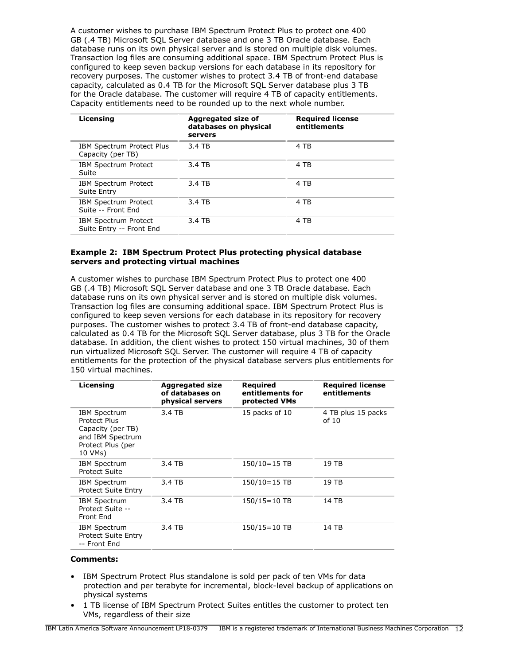A customer wishes to purchase IBM Spectrum Protect Plus to protect one 400 GB (.4 TB) Microsoft SQL Server database and one 3 TB Oracle database. Each database runs on its own physical server and is stored on multiple disk volumes. Transaction log files are consuming additional space. IBM Spectrum Protect Plus is configured to keep seven backup versions for each database in its repository for recovery purposes. The customer wishes to protect 3.4 TB of front-end database capacity, calculated as 0.4 TB for the Microsoft SQL Server database plus 3 TB for the Oracle database. The customer will require 4 TB of capacity entitlements. Capacity entitlements need to be rounded up to the next whole number.

| Licensing                                               | Aggregated size of<br>databases on physical<br>servers | <b>Required license</b><br>entitlements |
|---------------------------------------------------------|--------------------------------------------------------|-----------------------------------------|
| IBM Spectrum Protect Plus<br>Capacity (per TB)          | 3.4 TB                                                 | 4 TB                                    |
| <b>IBM Spectrum Protect</b><br>Suite                    | 3.4 TB                                                 | 4 TB                                    |
| <b>IBM Spectrum Protect</b><br>Suite Entry              | 3.4 TB                                                 | 4 TB                                    |
| <b>IBM Spectrum Protect</b><br>Suite -- Front End       | 3.4 TB                                                 | 4 TB                                    |
| <b>IBM Spectrum Protect</b><br>Suite Entry -- Front End | 3.4 TB                                                 | 4 TB                                    |

## **Example 2: IBM Spectrum Protect Plus protecting physical database servers and protecting virtual machines**

A customer wishes to purchase IBM Spectrum Protect Plus to protect one 400 GB (.4 TB) Microsoft SQL Server database and one 3 TB Oracle database. Each database runs on its own physical server and is stored on multiple disk volumes. Transaction log files are consuming additional space. IBM Spectrum Protect Plus is configured to keep seven versions for each database in its repository for recovery purposes. The customer wishes to protect 3.4 TB of front-end database capacity, calculated as 0.4 TB for the Microsoft SQL Server database, plus 3 TB for the Oracle database. In addition, the client wishes to protect 150 virtual machines, 30 of them run virtualized Microsoft SQL Server. The customer will require 4 TB of capacity entitlements for the protection of the physical database servers plus entitlements for 150 virtual machines.

| Licensing                                                                                                    | <b>Aggregated size</b><br>of databases on<br>physical servers | Reguired<br>entitlements for<br>protected VMs | <b>Required license</b><br>entitlements |
|--------------------------------------------------------------------------------------------------------------|---------------------------------------------------------------|-----------------------------------------------|-----------------------------------------|
| <b>IBM Spectrum</b><br>Protect Plus<br>Capacity (per TB)<br>and IBM Spectrum<br>Protect Plus (per<br>10 VMs) | 3.4 TB                                                        | 15 packs of 10                                | 4 TB plus 15 packs<br>of $10$           |
| <b>IBM Spectrum</b><br><b>Protect Suite</b>                                                                  | 3.4 TB                                                        | $150/10 = 15$ TB                              | 19 TB                                   |
| IBM Spectrum<br><b>Protect Suite Entry</b>                                                                   | 3.4 TB                                                        | $150/10 = 15$ TB                              | 19 TB                                   |
| IBM Spectrum<br>Protect Suite --<br>Front End                                                                | 3.4 TB                                                        | $150/15 = 10$ TB                              | 14 TB                                   |
| <b>IBM Spectrum</b><br><b>Protect Suite Entry</b><br>-- Front End                                            | 3.4 TB                                                        | $150/15 = 10$ TB                              | 14 TB                                   |

## **Comments:**

- IBM Spectrum Protect Plus standalone is sold per pack of ten VMs for data protection and per terabyte for incremental, block-level backup of applications on physical systems
- 1 TB license of IBM Spectrum Protect Suites entitles the customer to protect ten VMs, regardless of their size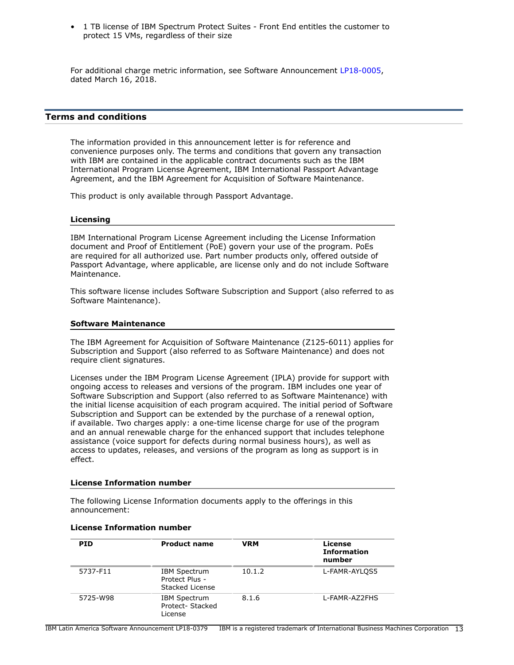• 1 TB license of IBM Spectrum Protect Suites - Front End entitles the customer to protect 15 VMs, regardless of their size

For additional charge metric information, see Software Announcement [LP18-0005](http://www.ibm.com/common/ssi/cgi-bin/ssialias?infotype=an&subtype=ca&appname=gpateam&supplier=899&letternum=ENUSLP18-0005), dated March 16, 2018.

## <span id="page-12-0"></span>**Terms and conditions**

The information provided in this announcement letter is for reference and convenience purposes only. The terms and conditions that govern any transaction with IBM are contained in the applicable contract documents such as the IBM International Program License Agreement, IBM International Passport Advantage Agreement, and the IBM Agreement for Acquisition of Software Maintenance.

This product is only available through Passport Advantage.

#### **Licensing**

IBM International Program License Agreement including the License Information document and Proof of Entitlement (PoE) govern your use of the program. PoEs are required for all authorized use. Part number products only, offered outside of Passport Advantage, where applicable, are license only and do not include Software Maintenance.

This software license includes Software Subscription and Support (also referred to as Software Maintenance).

## **Software Maintenance**

The IBM Agreement for Acquisition of Software Maintenance (Z125-6011) applies for Subscription and Support (also referred to as Software Maintenance) and does not require client signatures.

Licenses under the IBM Program License Agreement (IPLA) provide for support with ongoing access to releases and versions of the program. IBM includes one year of Software Subscription and Support (also referred to as Software Maintenance) with the initial license acquisition of each program acquired. The initial period of Software Subscription and Support can be extended by the purchase of a renewal option, if available. Two charges apply: a one-time license charge for use of the program and an annual renewable charge for the enhanced support that includes telephone assistance (voice support for defects during normal business hours), as well as access to updates, releases, and versions of the program as long as support is in effect.

#### **License Information number**

The following License Information documents apply to the offerings in this announcement:

| <b>PID</b> | <b>Product name</b>                                      | <b>VRM</b> | License<br><b>Information</b><br>number |
|------------|----------------------------------------------------------|------------|-----------------------------------------|
| 5737-F11   | <b>IBM Spectrum</b><br>Protect Plus -<br>Stacked License | 10.1.2     | L-FAMR-AYLOS5                           |
| 5725-W98   | <b>IBM Spectrum</b><br>Protect-Stacked<br>License        | 8.1.6      | L-FAMR-AZ2FHS                           |

#### **License Information number**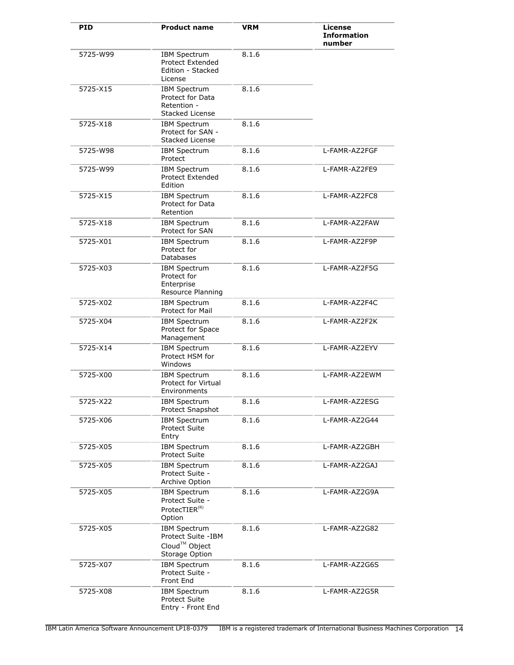| <b>PID</b> | <b>Product name</b>                                                                      | <b>VRM</b> | License<br><b>Information</b><br>number |
|------------|------------------------------------------------------------------------------------------|------------|-----------------------------------------|
| 5725-W99   | IBM Spectrum<br><b>Protect Extended</b><br>Edition - Stacked<br>License                  | 8.1.6      |                                         |
| 5725-X15   | <b>IBM Spectrum</b><br>Protect for Data<br>Retention -<br>Stacked License                | 8.1.6      |                                         |
| 5725-X18   | <b>IBM Spectrum</b><br>Protect for SAN -<br>Stacked License                              | 8.1.6      |                                         |
| 5725-W98   | <b>IBM Spectrum</b><br>Protect                                                           | 8.1.6      | L-FAMR-AZ2FGF                           |
| 5725-W99   | <b>IBM Spectrum</b><br><b>Protect Extended</b><br>Edition                                | 8.1.6      | L-FAMR-AZ2FE9                           |
| 5725-X15   | <b>IBM Spectrum</b><br>Protect for Data<br>Retention                                     | 8.1.6      | L-FAMR-AZ2FC8                           |
| 5725-X18   | <b>IBM Spectrum</b><br>Protect for SAN                                                   | 8.1.6      | L-FAMR-AZ2FAW                           |
| 5725-X01   | <b>IBM Spectrum</b><br>Protect for<br><b>Databases</b>                                   | 8.1.6      | L-FAMR-AZ2F9P                           |
| 5725-X03   | <b>IBM Spectrum</b><br>Protect for<br>Enterprise<br>Resource Planning                    | 8.1.6      | L-FAMR-AZ2F5G                           |
| 5725-X02   | <b>IBM Spectrum</b><br>Protect for Mail                                                  | 8.1.6      | L-FAMR-AZ2F4C                           |
| 5725-X04   | <b>IBM Spectrum</b><br>Protect for Space<br>Management                                   | 8.1.6      | L-FAMR-AZ2F2K                           |
| 5725-X14   | <b>IBM Spectrum</b><br>Protect HSM for<br>Windows                                        | 8.1.6      | L-FAMR-AZ2EYV                           |
| 5725-X00   | <b>IBM Spectrum</b><br>Protect for Virtual<br>Environments                               | 8.1.6      | L-FAMR-AZ2EWM                           |
| 5725-X22   | <b>IBM Spectrum</b><br>Protect Snapshot                                                  | 8.1.6      | L-FAMR-AZ2ESG                           |
| 5725-X06   | <b>IBM Spectrum</b><br><b>Protect Suite</b><br>Entry                                     | 8.1.6      | L-FAMR-AZ2G44                           |
| 5725-X05   | <b>IBM Spectrum</b><br><b>Protect Suite</b>                                              | 8.1.6      | L-FAMR-AZ2GBH                           |
| 5725-X05   | <b>IBM Spectrum</b><br>Protect Suite -<br>Archive Option                                 | 8.1.6      | L-FAMR-AZ2GAJ                           |
| 5725-X05   | <b>IBM Spectrum</b><br>Protect Suite -<br>ProtecTIER <sup>(R)</sup><br>Option            | 8.1.6      | L-FAMR-AZ2G9A                           |
| 5725-X05   | <b>IBM Spectrum</b><br>Protect Suite -IBM<br>Cloud <sup>™</sup> Object<br>Storage Option | 8.1.6      | L-FAMR-AZ2G82                           |
| 5725-X07   | <b>IBM Spectrum</b><br>Protect Suite -<br>Front End                                      | 8.1.6      | L-FAMR-AZ2G6S                           |
| 5725-X08   | <b>IBM Spectrum</b><br><b>Protect Suite</b><br>Entry - Front End                         | 8.1.6      | L-FAMR-AZ2G5R                           |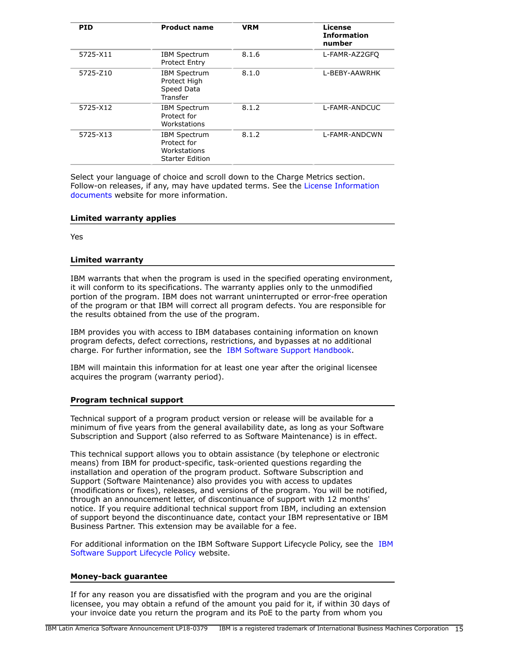| <b>PID</b> | <b>Product name</b>                                                          | <b>VRM</b> | License<br><b>Information</b><br>number |
|------------|------------------------------------------------------------------------------|------------|-----------------------------------------|
| 5725-X11   | <b>IBM Spectrum</b><br><b>Protect Entry</b>                                  | 8.1.6      | L-FAMR-AZ2GFO                           |
| 5725-Z10   | <b>IBM Spectrum</b><br>Protect High<br>Speed Data<br>Transfer                | 8.1.0      | L-BEBY-AAWRHK                           |
| 5725-X12   | <b>IBM Spectrum</b><br>Protect for<br>Workstations                           | 8.1.2      | L-FAMR-ANDCUC                           |
| 5725-X13   | <b>IBM Spectrum</b><br>Protect for<br>Workstations<br><b>Starter Edition</b> | 8.1.2      | L-FAMR-ANDCWN                           |

Select your language of choice and scroll down to the Charge Metrics section. Follow-on releases, if any, may have updated terms. See the [License Information](https://www.ibm.com/software/sla/sladb.nsf/search?OpenForm) [documents](https://www.ibm.com/software/sla/sladb.nsf/search?OpenForm) website for more information.

## **Limited warranty applies**

Yes

#### **Limited warranty**

IBM warrants that when the program is used in the specified operating environment, it will conform to its specifications. The warranty applies only to the unmodified portion of the program. IBM does not warrant uninterrupted or error-free operation of the program or that IBM will correct all program defects. You are responsible for the results obtained from the use of the program.

IBM provides you with access to IBM databases containing information on known program defects, defect corrections, restrictions, and bypasses at no additional charge. For further information, see the [IBM Software Support Handbook.](http://www.ibm.com/support/customercare/sas/f/handbook/home.html)

IBM will maintain this information for at least one year after the original licensee acquires the program (warranty period).

## **Program technical support**

Technical support of a program product version or release will be available for a minimum of five years from the general availability date, as long as your Software Subscription and Support (also referred to as Software Maintenance) is in effect.

This technical support allows you to obtain assistance (by telephone or electronic means) from IBM for product-specific, task-oriented questions regarding the installation and operation of the program product. Software Subscription and Support (Software Maintenance) also provides you with access to updates (modifications or fixes), releases, and versions of the program. You will be notified, through an announcement letter, of discontinuance of support with 12 months' notice. If you require additional technical support from IBM, including an extension of support beyond the discontinuance date, contact your IBM representative or IBM Business Partner. This extension may be available for a fee.

For additional information on the IBM Software Support Lifecycle Policy, see the [IBM](http://www.ibm.com/software/support/lifecycle/lc-policy.html) [Software Support Lifecycle Policy](http://www.ibm.com/software/support/lifecycle/lc-policy.html) website.

## **Money-back guarantee**

If for any reason you are dissatisfied with the program and you are the original licensee, you may obtain a refund of the amount you paid for it, if within 30 days of your invoice date you return the program and its PoE to the party from whom you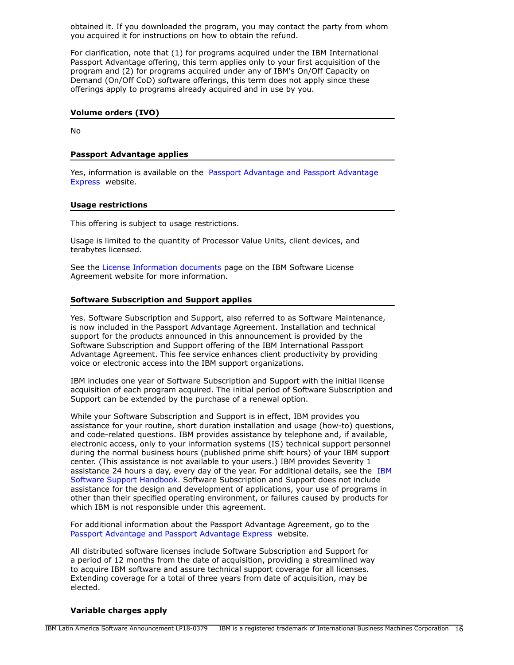obtained it. If you downloaded the program, you may contact the party from whom you acquired it for instructions on how to obtain the refund.

For clarification, note that (1) for programs acquired under the IBM International Passport Advantage offering, this term applies only to your first acquisition of the program and (2) for programs acquired under any of IBM's On/Off Capacity on Demand (On/Off CoD) software offerings, this term does not apply since these offerings apply to programs already acquired and in use by you.

#### **Volume orders (IVO)**

No

## **Passport Advantage applies**

Yes, information is available on the [Passport Advantage and Passport Advantage](http://www.ibm.com/software/passportadvantage) [Express](http://www.ibm.com/software/passportadvantage) website.

## **Usage restrictions**

This offering is subject to usage restrictions.

Usage is limited to the quantity of Processor Value Units, client devices, and terabytes licensed.

See the [License Information documents](http://www.ibm.com/software/sla/sladb.nsf) page on the IBM Software License Agreement website for more information.

## **Software Subscription and Support applies**

Yes. Software Subscription and Support, also referred to as Software Maintenance, is now included in the Passport Advantage Agreement. Installation and technical support for the products announced in this announcement is provided by the Software Subscription and Support offering of the IBM International Passport Advantage Agreement. This fee service enhances client productivity by providing voice or electronic access into the IBM support organizations.

IBM includes one year of Software Subscription and Support with the initial license acquisition of each program acquired. The initial period of Software Subscription and Support can be extended by the purchase of a renewal option.

While your Software Subscription and Support is in effect, IBM provides you assistance for your routine, short duration installation and usage (how-to) questions, and code-related questions. IBM provides assistance by telephone and, if available, electronic access, only to your information systems (IS) technical support personnel during the normal business hours (published prime shift hours) of your IBM support center. (This assistance is not available to your users.) IBM provides Severity 1 assistance 24 hours a day, every day of the year. For additional details, see the [IBM](http://www.ibm.com/support/customercare/sas/f/handbook/home.html) [Software Support Handbook.](http://www.ibm.com/support/customercare/sas/f/handbook/home.html) Software Subscription and Support does not include assistance for the design and development of applications, your use of programs in other than their specified operating environment, or failures caused by products for which IBM is not responsible under this agreement.

For additional information about the Passport Advantage Agreement, go to the [Passport Advantage and Passport Advantage Express](http://www.ibm.com/software/passportadvantage) website.

All distributed software licenses include Software Subscription and Support for a period of 12 months from the date of acquisition, providing a streamlined way to acquire IBM software and assure technical support coverage for all licenses. Extending coverage for a total of three years from date of acquisition, may be elected.

## **Variable charges apply**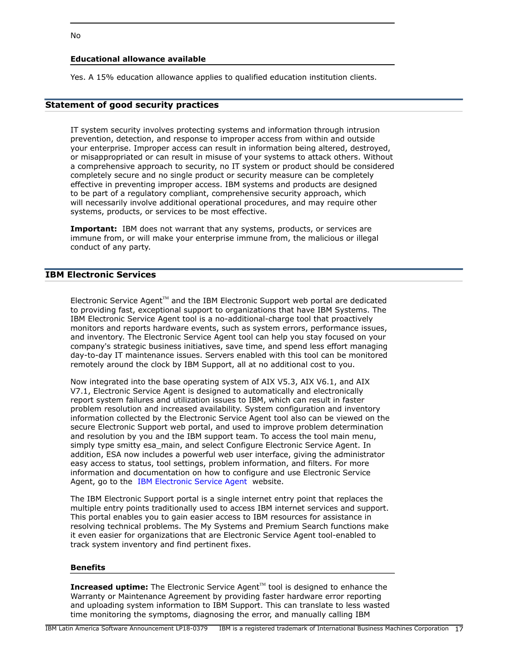## **Educational allowance available**

Yes. A 15% education allowance applies to qualified education institution clients.

## **Statement of good security practices**

IT system security involves protecting systems and information through intrusion prevention, detection, and response to improper access from within and outside your enterprise. Improper access can result in information being altered, destroyed, or misappropriated or can result in misuse of your systems to attack others. Without a comprehensive approach to security, no IT system or product should be considered completely secure and no single product or security measure can be completely effective in preventing improper access. IBM systems and products are designed to be part of a regulatory compliant, comprehensive security approach, which will necessarily involve additional operational procedures, and may require other systems, products, or services to be most effective.

**Important:** IBM does not warrant that any systems, products, or services are immune from, or will make your enterprise immune from, the malicious or illegal conduct of any party.

## **IBM Electronic Services**

Electronic Service Agent $T^M$  and the IBM Electronic Support web portal are dedicated to providing fast, exceptional support to organizations that have IBM Systems. The IBM Electronic Service Agent tool is a no-additional-charge tool that proactively monitors and reports hardware events, such as system errors, performance issues, and inventory. The Electronic Service Agent tool can help you stay focused on your company's strategic business initiatives, save time, and spend less effort managing day-to-day IT maintenance issues. Servers enabled with this tool can be monitored remotely around the clock by IBM Support, all at no additional cost to you.

Now integrated into the base operating system of AIX V5.3, AIX V6.1, and AIX V7.1, Electronic Service Agent is designed to automatically and electronically report system failures and utilization issues to IBM, which can result in faster problem resolution and increased availability. System configuration and inventory information collected by the Electronic Service Agent tool also can be viewed on the secure Electronic Support web portal, and used to improve problem determination and resolution by you and the IBM support team. To access the tool main menu, simply type smitty esa main, and select Configure Electronic Service Agent. In addition, ESA now includes a powerful web user interface, giving the administrator easy access to status, tool settings, problem information, and filters. For more information and documentation on how to configure and use Electronic Service Agent, go to the [IBM Electronic Service Agent](http://www.ibm.com/support/esa) website.

The IBM Electronic Support portal is a single internet entry point that replaces the multiple entry points traditionally used to access IBM internet services and support. This portal enables you to gain easier access to IBM resources for assistance in resolving technical problems. The My Systems and Premium Search functions make it even easier for organizations that are Electronic Service Agent tool-enabled to track system inventory and find pertinent fixes.

#### **Benefits**

**Increased uptime:** The Electronic Service Agent™ tool is designed to enhance the Warranty or Maintenance Agreement by providing faster hardware error reporting and uploading system information to IBM Support. This can translate to less wasted time monitoring the symptoms, diagnosing the error, and manually calling IBM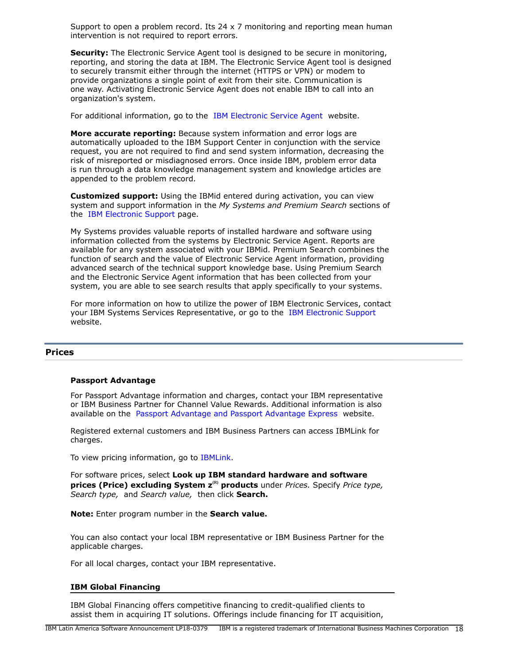Support to open a problem record. Its 24  $\times$  7 monitoring and reporting mean human intervention is not required to report errors.

**Security:** The Electronic Service Agent tool is designed to be secure in monitoring, reporting, and storing the data at IBM. The Electronic Service Agent tool is designed to securely transmit either through the internet (HTTPS or VPN) or modem to provide organizations a single point of exit from their site. Communication is one way. Activating Electronic Service Agent does not enable IBM to call into an organization's system.

For additional information, go to the [IBM Electronic Service Agent](http://www.ibm.com/support/esa) website.

**More accurate reporting:** Because system information and error logs are automatically uploaded to the IBM Support Center in conjunction with the service request, you are not required to find and send system information, decreasing the risk of misreported or misdiagnosed errors. Once inside IBM, problem error data is run through a data knowledge management system and knowledge articles are appended to the problem record.

**Customized support:** Using the IBMid entered during activation, you can view system and support information in the *My Systems and Premium Search* sections of the [IBM Electronic Support](http://www.ibm.com/support/electronic) page.

My Systems provides valuable reports of installed hardware and software using information collected from the systems by Electronic Service Agent. Reports are available for any system associated with your IBMid. Premium Search combines the function of search and the value of Electronic Service Agent information, providing advanced search of the technical support knowledge base. Using Premium Search and the Electronic Service Agent information that has been collected from your system, you are able to see search results that apply specifically to your systems.

For more information on how to utilize the power of IBM Electronic Services, contact your IBM Systems Services Representative, or go to the [IBM Electronic Support](http://www.ibm.com/support/electronic) website.

## <span id="page-17-0"></span>**Prices**

#### **Passport Advantage**

For Passport Advantage information and charges, contact your IBM representative or IBM Business Partner for Channel Value Rewards. Additional information is also available on the [Passport Advantage and Passport Advantage Express](http://www.ibm.com/software/passportadvantage) website.

Registered external customers and IBM Business Partners can access IBMLink for charges.

To view pricing information, go to [IBMLink](http://www.ibm.com/ibmlink).

For software prices, select **Look up IBM standard hardware and software prices (Price) excluding System**  $z^{(R)}$  **products** under *Prices.* Specify *Price type, Search type,* and *Search value,* then click **Search.**

**Note:** Enter program number in the **Search value.**

You can also contact your local IBM representative or IBM Business Partner for the applicable charges.

For all local charges, contact your IBM representative.

#### **IBM Global Financing**

IBM Global Financing offers competitive financing to credit-qualified clients to assist them in acquiring IT solutions. Offerings include financing for IT acquisition,